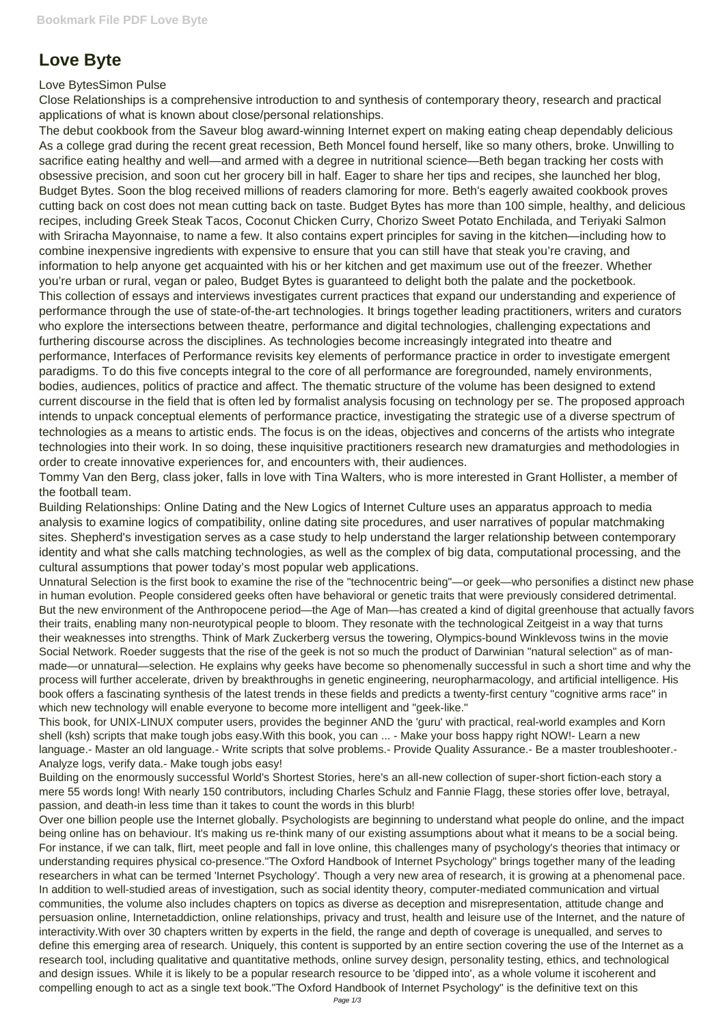## **Love Byte**

## Love BytesSimon Pulse

Close Relationships is a comprehensive introduction to and synthesis of contemporary theory, research and practical applications of what is known about close/personal relationships.

The debut cookbook from the Saveur blog award-winning Internet expert on making eating cheap dependably delicious As a college grad during the recent great recession, Beth Moncel found herself, like so many others, broke. Unwilling to sacrifice eating healthy and well—and armed with a degree in nutritional science—Beth began tracking her costs with obsessive precision, and soon cut her grocery bill in half. Eager to share her tips and recipes, she launched her blog, Budget Bytes. Soon the blog received millions of readers clamoring for more. Beth's eagerly awaited cookbook proves cutting back on cost does not mean cutting back on taste. Budget Bytes has more than 100 simple, healthy, and delicious recipes, including Greek Steak Tacos, Coconut Chicken Curry, Chorizo Sweet Potato Enchilada, and Teriyaki Salmon with Sriracha Mayonnaise, to name a few. It also contains expert principles for saving in the kitchen—including how to combine inexpensive ingredients with expensive to ensure that you can still have that steak you're craving, and information to help anyone get acquainted with his or her kitchen and get maximum use out of the freezer. Whether you're urban or rural, vegan or paleo, Budget Bytes is guaranteed to delight both the palate and the pocketbook. This collection of essays and interviews investigates current practices that expand our understanding and experience of performance through the use of state-of-the-art technologies. It brings together leading practitioners, writers and curators who explore the intersections between theatre, performance and digital technologies, challenging expectations and furthering discourse across the disciplines. As technologies become increasingly integrated into theatre and performance, Interfaces of Performance revisits key elements of performance practice in order to investigate emergent paradigms. To do this five concepts integral to the core of all performance are foregrounded, namely environments, bodies, audiences, politics of practice and affect. The thematic structure of the volume has been designed to extend current discourse in the field that is often led by formalist analysis focusing on technology per se. The proposed approach intends to unpack conceptual elements of performance practice, investigating the strategic use of a diverse spectrum of technologies as a means to artistic ends. The focus is on the ideas, objectives and concerns of the artists who integrate technologies into their work. In so doing, these inquisitive practitioners research new dramaturgies and methodologies in order to create innovative experiences for, and encounters with, their audiences.

Tommy Van den Berg, class joker, falls in love with Tina Walters, who is more interested in Grant Hollister, a member of the football team.

Building Relationships: Online Dating and the New Logics of Internet Culture uses an apparatus approach to media analysis to examine logics of compatibility, online dating site procedures, and user narratives of popular matchmaking sites. Shepherd's investigation serves as a case study to help understand the larger relationship between contemporary identity and what she calls matching technologies, as well as the complex of big data, computational processing, and the cultural assumptions that power today's most popular web applications.

Unnatural Selection is the first book to examine the rise of the "technocentric being"—or geek—who personifies a distinct new phase in human evolution. People considered geeks often have behavioral or genetic traits that were previously considered detrimental. But the new environment of the Anthropocene period—the Age of Man—has created a kind of digital greenhouse that actually favors their traits, enabling many non-neurotypical people to bloom. They resonate with the technological Zeitgeist in a way that turns their weaknesses into strengths. Think of Mark Zuckerberg versus the towering, Olympics-bound Winklevoss twins in the movie Social Network. Roeder suggests that the rise of the geek is not so much the product of Darwinian "natural selection" as of manmade—or unnatural—selection. He explains why geeks have become so phenomenally successful in such a short time and why the process will further accelerate, driven by breakthroughs in genetic engineering, neuropharmacology, and artificial intelligence. His book offers a fascinating synthesis of the latest trends in these fields and predicts a twenty-first century "cognitive arms race" in which new technology will enable everyone to become more intelligent and "geek-like."

This book, for UNIX-LINUX computer users, provides the beginner AND the 'guru' with practical, real-world examples and Korn shell (ksh) scripts that make tough jobs easy.With this book, you can ... - Make your boss happy right NOW!- Learn a new language.- Master an old language.- Write scripts that solve problems.- Provide Quality Assurance.- Be a master troubleshooter.- Analyze logs, verify data.- Make tough jobs easy!

Building on the enormously successful World's Shortest Stories, here's an all-new collection of super-short fiction-each story a mere 55 words long! With nearly 150 contributors, including Charles Schulz and Fannie Flagg, these stories offer love, betrayal, passion, and death-in less time than it takes to count the words in this blurb!

Over one billion people use the Internet globally. Psychologists are beginning to understand what people do online, and the impact being online has on behaviour. It's making us re-think many of our existing assumptions about what it means to be a social being. For instance, if we can talk, flirt, meet people and fall in love online, this challenges many of psychology's theories that intimacy or understanding requires physical co-presence."The Oxford Handbook of Internet Psychology" brings together many of the leading researchers in what can be termed 'Internet Psychology'. Though a very new area of research, it is growing at a phenomenal pace. In addition to well-studied areas of investigation, such as social identity theory, computer-mediated communication and virtual communities, the volume also includes chapters on topics as diverse as deception and misrepresentation, attitude change and persuasion online, Internetaddiction, online relationships, privacy and trust, health and leisure use of the Internet, and the nature of interactivity.With over 30 chapters written by experts in the field, the range and depth of coverage is unequalled, and serves to define this emerging area of research. Uniquely, this content is supported by an entire section covering the use of the Internet as a research tool, including qualitative and quantitative methods, online survey design, personality testing, ethics, and technological and design issues. While it is likely to be a popular research resource to be 'dipped into', as a whole volume it iscoherent and compelling enough to act as a single text book."The Oxford Handbook of Internet Psychology" is the definitive text on this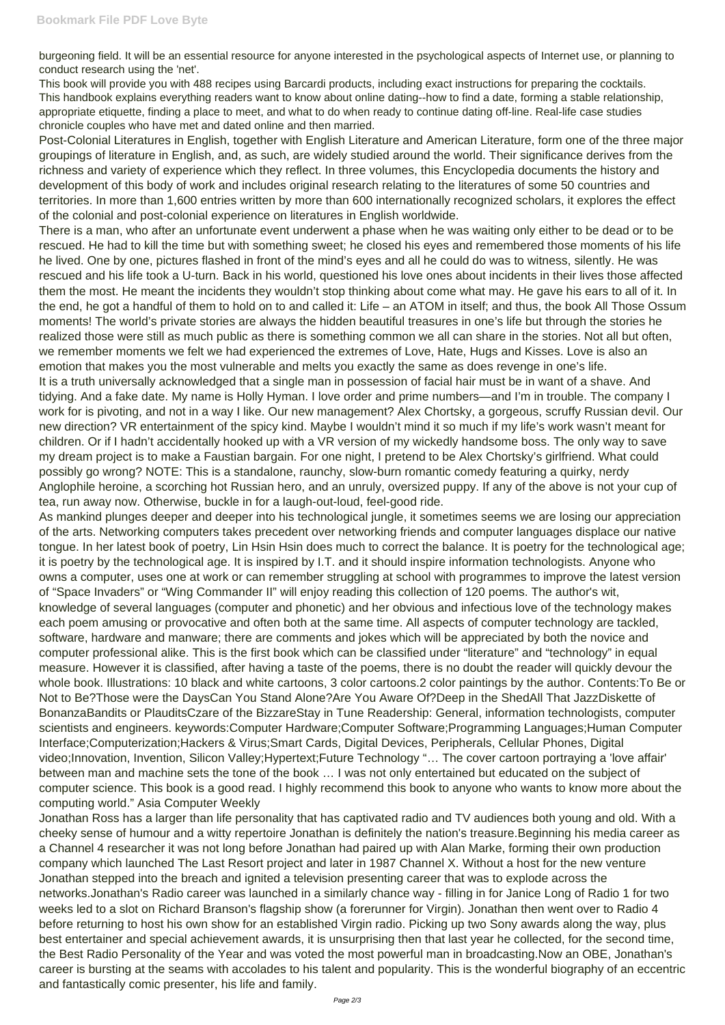burgeoning field. It will be an essential resource for anyone interested in the psychological aspects of Internet use, or planning to conduct research using the 'net'.

This book will provide you with 488 recipes using Barcardi products, including exact instructions for preparing the cocktails. This handbook explains everything readers want to know about online dating--how to find a date, forming a stable relationship, appropriate etiquette, finding a place to meet, and what to do when ready to continue dating off-line. Real-life case studies chronicle couples who have met and dated online and then married.

Post-Colonial Literatures in English, together with English Literature and American Literature, form one of the three major groupings of literature in English, and, as such, are widely studied around the world. Their significance derives from the richness and variety of experience which they reflect. In three volumes, this Encyclopedia documents the history and development of this body of work and includes original research relating to the literatures of some 50 countries and territories. In more than 1,600 entries written by more than 600 internationally recognized scholars, it explores the effect of the colonial and post-colonial experience on literatures in English worldwide.

There is a man, who after an unfortunate event underwent a phase when he was waiting only either to be dead or to be rescued. He had to kill the time but with something sweet; he closed his eyes and remembered those moments of his life he lived. One by one, pictures flashed in front of the mind's eyes and all he could do was to witness, silently. He was rescued and his life took a U-turn. Back in his world, questioned his love ones about incidents in their lives those affected them the most. He meant the incidents they wouldn't stop thinking about come what may. He gave his ears to all of it. In the end, he got a handful of them to hold on to and called it: Life – an ATOM in itself; and thus, the book All Those Ossum moments! The world's private stories are always the hidden beautiful treasures in one's life but through the stories he realized those were still as much public as there is something common we all can share in the stories. Not all but often, we remember moments we felt we had experienced the extremes of Love, Hate, Hugs and Kisses. Love is also an emotion that makes you the most vulnerable and melts you exactly the same as does revenge in one's life. It is a truth universally acknowledged that a single man in possession of facial hair must be in want of a shave. And tidying. And a fake date. My name is Holly Hyman. I love order and prime numbers—and I'm in trouble. The company I work for is pivoting, and not in a way I like. Our new management? Alex Chortsky, a gorgeous, scruffy Russian devil. Our new direction? VR entertainment of the spicy kind. Maybe I wouldn't mind it so much if my life's work wasn't meant for children. Or if I hadn't accidentally hooked up with a VR version of my wickedly handsome boss. The only way to save my dream project is to make a Faustian bargain. For one night, I pretend to be Alex Chortsky's girlfriend. What could possibly go wrong? NOTE: This is a standalone, raunchy, slow-burn romantic comedy featuring a quirky, nerdy Anglophile heroine, a scorching hot Russian hero, and an unruly, oversized puppy. If any of the above is not your cup of tea, run away now. Otherwise, buckle in for a laugh-out-loud, feel-good ride.

As mankind plunges deeper and deeper into his technological jungle, it sometimes seems we are losing our appreciation of the arts. Networking computers takes precedent over networking friends and computer languages displace our native tongue. In her latest book of poetry, Lin Hsin Hsin does much to correct the balance. It is poetry for the technological age; it is poetry by the technological age. It is inspired by I.T. and it should inspire information technologists. Anyone who owns a computer, uses one at work or can remember struggling at school with programmes to improve the latest version of "Space Invaders" or "Wing Commander II" will enjoy reading this collection of 120 poems. The author's wit, knowledge of several languages (computer and phonetic) and her obvious and infectious love of the technology makes each poem amusing or provocative and often both at the same time. All aspects of computer technology are tackled, software, hardware and manware; there are comments and jokes which will be appreciated by both the novice and computer professional alike. This is the first book which can be classified under "literature" and "technology" in equal measure. However it is classified, after having a taste of the poems, there is no doubt the reader will quickly devour the whole book. Illustrations: 10 black and white cartoons, 3 color cartoons.2 color paintings by the author. Contents:To Be or Not to Be?Those were the DaysCan You Stand Alone?Are You Aware Of?Deep in the ShedAll That JazzDiskette of BonanzaBandits or PlauditsCzare of the BizzareStay in Tune Readership: General, information technologists, computer scientists and engineers. keywords:Computer Hardware;Computer Software;Programming Languages;Human Computer Interface;Computerization;Hackers & Virus;Smart Cards, Digital Devices, Peripherals, Cellular Phones, Digital video;Innovation, Invention, Silicon Valley;Hypertext;Future Technology "… The cover cartoon portraying a 'love affair' between man and machine sets the tone of the book … I was not only entertained but educated on the subject of computer science. This book is a good read. I highly recommend this book to anyone who wants to know more about the computing world." Asia Computer Weekly Jonathan Ross has a larger than life personality that has captivated radio and TV audiences both young and old. With a cheeky sense of humour and a witty repertoire Jonathan is definitely the nation's treasure.Beginning his media career as a Channel 4 researcher it was not long before Jonathan had paired up with Alan Marke, forming their own production company which launched The Last Resort project and later in 1987 Channel X. Without a host for the new venture Jonathan stepped into the breach and ignited a television presenting career that was to explode across the networks.Jonathan's Radio career was launched in a similarly chance way - filling in for Janice Long of Radio 1 for two weeks led to a slot on Richard Branson's flagship show (a forerunner for Virgin). Jonathan then went over to Radio 4 before returning to host his own show for an established Virgin radio. Picking up two Sony awards along the way, plus best entertainer and special achievement awards, it is unsurprising then that last year he collected, for the second time, the Best Radio Personality of the Year and was voted the most powerful man in broadcasting.Now an OBE, Jonathan's career is bursting at the seams with accolades to his talent and popularity. This is the wonderful biography of an eccentric and fantastically comic presenter, his life and family.